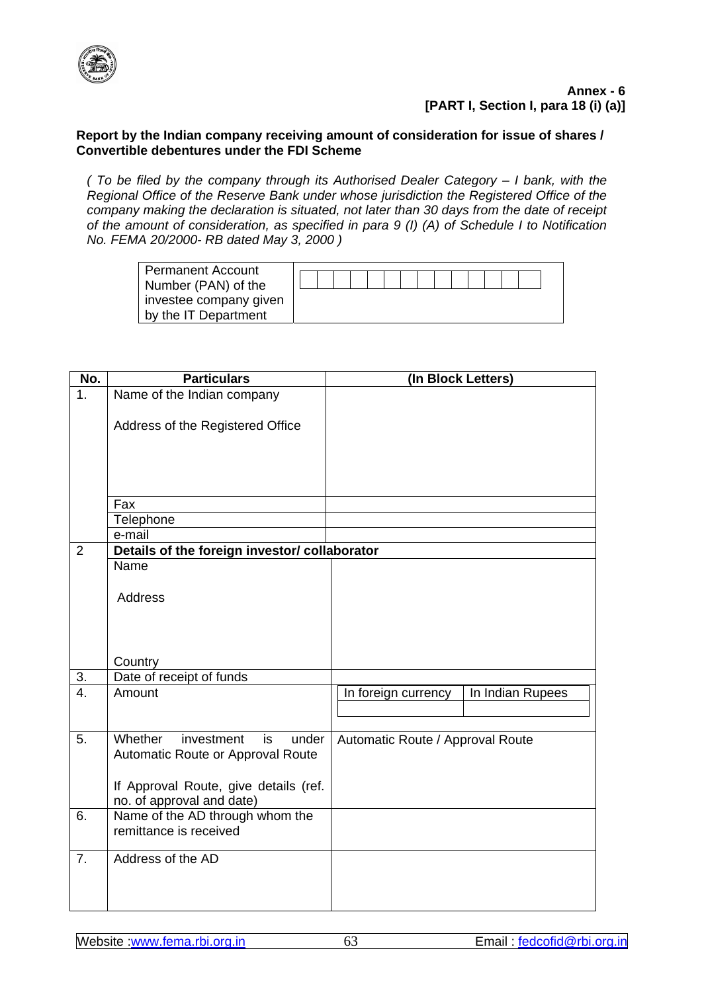

## **Annex - 6 [PART I, Section I, para 18 (i) (a)]**

## **Report by the Indian company receiving amount of consideration for issue of shares / Convertible debentures under the FDI Scheme**

*( To be filed by the company through its Authorised Dealer Category – I bank, with the Regional Office of the Reserve Bank under whose jurisdiction the Registered Office of the company making the declaration is situated, not later than 30 days from the date of receipt of the amount of consideration, as specified in para 9 (I) (A) of Schedule I to Notification No. FEMA 20/2000- RB dated May 3, 2000 )* 

| <b>Permanent Account</b> |  |  |  |  |  |  |  |  |
|--------------------------|--|--|--|--|--|--|--|--|
|                          |  |  |  |  |  |  |  |  |
| Number (PAN) of the      |  |  |  |  |  |  |  |  |
| investee company given   |  |  |  |  |  |  |  |  |
| by the IT Department     |  |  |  |  |  |  |  |  |
|                          |  |  |  |  |  |  |  |  |

| No.              | <b>Particulars</b>                                    | (In Block Letters)               |                  |  |  |  |  |
|------------------|-------------------------------------------------------|----------------------------------|------------------|--|--|--|--|
| 1 <sub>1</sub>   | Name of the Indian company                            |                                  |                  |  |  |  |  |
|                  |                                                       |                                  |                  |  |  |  |  |
|                  | Address of the Registered Office                      |                                  |                  |  |  |  |  |
|                  |                                                       |                                  |                  |  |  |  |  |
|                  |                                                       |                                  |                  |  |  |  |  |
|                  |                                                       |                                  |                  |  |  |  |  |
|                  |                                                       |                                  |                  |  |  |  |  |
|                  | Fax                                                   |                                  |                  |  |  |  |  |
|                  | Telephone                                             |                                  |                  |  |  |  |  |
|                  | e-mail                                                |                                  |                  |  |  |  |  |
| $\overline{2}$   | Details of the foreign investor/ collaborator<br>Name |                                  |                  |  |  |  |  |
|                  |                                                       |                                  |                  |  |  |  |  |
|                  | <b>Address</b>                                        |                                  |                  |  |  |  |  |
|                  |                                                       |                                  |                  |  |  |  |  |
|                  |                                                       |                                  |                  |  |  |  |  |
|                  |                                                       |                                  |                  |  |  |  |  |
|                  | Country                                               |                                  |                  |  |  |  |  |
| 3.               | Date of receipt of funds                              |                                  |                  |  |  |  |  |
| $\overline{4}$ . | Amount                                                | In foreign currency              | In Indian Rupees |  |  |  |  |
|                  |                                                       |                                  |                  |  |  |  |  |
|                  |                                                       |                                  |                  |  |  |  |  |
| 5.               | Whether<br>investment<br>under<br>is                  | Automatic Route / Approval Route |                  |  |  |  |  |
|                  | Automatic Route or Approval Route                     |                                  |                  |  |  |  |  |
|                  |                                                       |                                  |                  |  |  |  |  |
|                  | If Approval Route, give details (ref.                 |                                  |                  |  |  |  |  |
|                  | no. of approval and date)                             |                                  |                  |  |  |  |  |
| 6.               | Name of the AD through whom the                       |                                  |                  |  |  |  |  |
|                  | remittance is received                                |                                  |                  |  |  |  |  |
| $\overline{7}$ . | Address of the AD                                     |                                  |                  |  |  |  |  |
|                  |                                                       |                                  |                  |  |  |  |  |
|                  |                                                       |                                  |                  |  |  |  |  |
|                  |                                                       |                                  |                  |  |  |  |  |